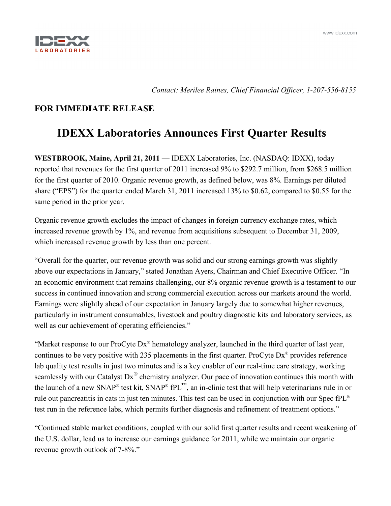

*Contact: Merilee Raines, Chief Financial Officer, 1-207-556-8155*

# **FOR IMMEDIATE RELEASE**

# **IDEXX Laboratories Announces First Quarter Results**

**WESTBROOK, Maine, April 21, 2011** — IDEXX Laboratories, Inc. (NASDAQ: IDXX), today reported that revenues for the first quarter of 2011 increased 9% to \$292.7 million, from \$268.5 million for the first quarter of 2010. Organic revenue growth, as defined below, was 8%. Earnings per diluted share ("EPS") for the quarter ended March 31, 2011 increased 13% to \$0.62, compared to \$0.55 for the same period in the prior year.

Organic revenue growth excludes the impact of changes in foreign currency exchange rates, which increased revenue growth by 1%, and revenue from acquisitions subsequent to December 31, 2009, which increased revenue growth by less than one percent.

"Overall for the quarter, our revenue growth was solid and our strong earnings growth was slightly above our expectations in January," stated Jonathan Ayers, Chairman and Chief Executive Officer. "In an economic environment that remains challenging, our 8% organic revenue growth is a testament to our success in continued innovation and strong commercial execution across our markets around the world. Earnings were slightly ahead of our expectation in January largely due to somewhat higher revenues, particularly in instrument consumables, livestock and poultry diagnostic kits and laboratory services, as well as our achievement of operating efficiencies."

"Market response to our ProCyte Dx® hematology analyzer, launched in the third quarter of last year, continues to be very positive with 235 placements in the first quarter. ProCyte Dx® provides reference lab quality test results in just two minutes and is a key enabler of our real-time care strategy, working seamlessly with our Catalyst Dx<sup>®</sup> chemistry analyzer. Our pace of innovation continues this month with the launch of a new SNAP® test kit, SNAP® fPL™, an in-clinic test that will help veterinarians rule in or rule out pancreatitis in cats in just ten minutes. This test can be used in conjunction with our Spec fPL® test run in the reference labs, which permits further diagnosis and refinement of treatment options."

"Continued stable market conditions, coupled with our solid first quarter results and recent weakening of the U.S. dollar, lead us to increase our earnings guidance for 2011, while we maintain our organic revenue growth outlook of 7-8%."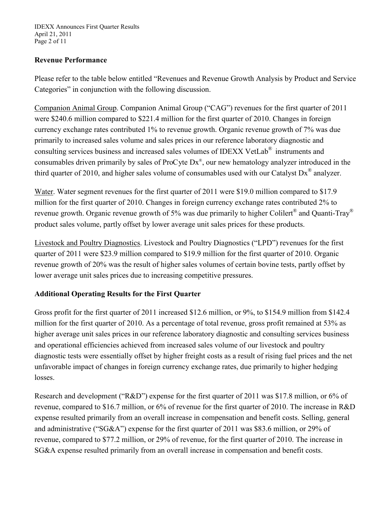# **Revenue Performance**

Please refer to the table below entitled "Revenues and Revenue Growth Analysis by Product and Service Categories" in conjunction with the following discussion.

Companion Animal Group. Companion Animal Group ("CAG") revenues for the first quarter of 2011 were \$240.6 million compared to \$221.4 million for the first quarter of 2010. Changes in foreign currency exchange rates contributed 1% to revenue growth. Organic revenue growth of 7% was due primarily to increased sales volume and sales prices in our reference laboratory diagnostic and consulting services business and increased sales volumes of IDEXX VetLab® instruments and consumables driven primarily by sales of ProCyte Dx®, our new hematology analyzer introduced in the third quarter of 2010, and higher sales volume of consumables used with our Catalyst  $Dx^{\circledast}$  analyzer.

Water. Water segment revenues for the first quarter of 2011 were \$19.0 million compared to \$17.9 million for the first quarter of 2010. Changes in foreign currency exchange rates contributed 2% to revenue growth. Organic revenue growth of 5% was due primarily to higher Colilert<sup>®</sup> and Quanti-Tray<sup>®</sup> product sales volume, partly offset by lower average unit sales prices for these products.

Livestock and Poultry Diagnostics . Livestock and Poultry Diagnostics ("LPD") revenues for the first quarter of 2011 were \$23.9 million compared to \$19.9 million for the first quarter of 2010. Organic revenue growth of 20% was the result of higher sales volumes of certain bovine tests, partly offset by lower average unit sales prices due to increasing competitive pressures.

# **Additional Operating Results for the First Quarter**

Gross profit for the first quarter of 2011 increased \$12.6 million, or 9%, to \$154.9 million from \$142.4 million for the first quarter of 2010. As a percentage of total revenue, gross profit remained at 53% as higher average unit sales prices in our reference laboratory diagnostic and consulting services business and operational efficiencies achieved from increased sales volume of our livestock and poultry diagnostic tests were essentially offset by higher freight costs as a result of rising fuel prices and the net unfavorable impact of changes in foreign currency exchange rates, due primarily to higher hedging losses.

Research and development ("R&D") expense for the first quarter of 2011 was \$17.8 million, or 6% of revenue, compared to \$16.7 million, or 6% of revenue for the first quarter of 2010. The increase in R&D expense resulted primarily from an overall increase in compensation and benefit costs. Selling, general and administrative ("SG&A") expense for the first quarter of 2011 was \$83.6 million, or 29% of revenue, compared to \$77.2 million, or 29% of revenue, for the first quarter of 2010. The increase in SG&A expense resulted primarily from an overall increase in compensation and benefit costs.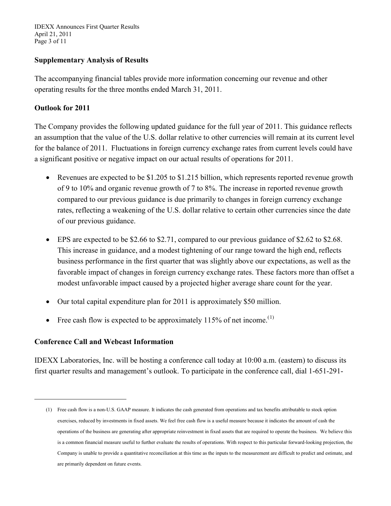IDEXX Announces First Quarter Results April 21, 2011 Page 3 of 11

### **Supplementary Analysis of Results**

The accompanying financial tables provide more information concerning our revenue and other operating results for the three months ended March 31, 2011.

### **Outlook for 2011**

The Company provides the following updated guidance for the full year of 2011. This guidance reflects an assumption that the value of the U.S. dollar relative to other currencies will remain at its current level for the balance of 2011. Fluctuations in foreign currency exchange rates from current levels could have a significant positive or negative impact on our actual results of operations for 2011.

- Revenues are expected to be \$1.205 to \$1.215 billion, which represents reported revenue growth of 9 to 10% and organic revenue growth of 7 to 8%. The increase in reported revenue growth compared to our previous guidance is due primarily to changes in foreign currency exchange rates, reflecting a weakening of the U.S. dollar relative to certain other currencies since the date of our previous guidance.
- EPS are expected to be \$2.66 to \$2.71, compared to our previous guidance of \$2.62 to \$2.68. This increase in guidance, and a modest tightening of our range toward the high end, reflects business performance in the first quarter that was slightly above our expectations, as well as the favorable impact of changes in foreign currency exchange rates. These factors more than offset a modest unfavorable impact caused by a projected higher average share count for the year.
- Our total capital expenditure plan for 2011 is approximately \$50 million.
- Free cash flow is expected to be approximately 115% of net income.<sup>([1\)](#page-2-0)</sup>

## **Conference Call and Webcast Information**

<span id="page-2-0"></span> $\overline{a}$ 

IDEXX Laboratories, Inc. will be hosting a conference call today at 10:00 a.m. (eastern) to discuss its first quarter results and management's outlook. To participate in the conference call, dial 1-651-291-

<sup>(1)</sup> Free cash flow is a non-U.S. GAAP measure. It indicates the cash generated from operations and tax benefits attributable to stock option exercises, reduced by investments in fixed assets. We feel free cash flow is a useful measure because it indicates the amount of cash the operations of the business are generating after appropriate reinvestment in fixed assets that are required to operate the business. We believe this is a common financial measure useful to further evaluate the results of operations. With respect to this particular forward-looking projection, the Company is unable to provide a quantitative reconciliation at this time as the inputs to the measurement are difficult to predict and estimate, and are primarily dependent on future events.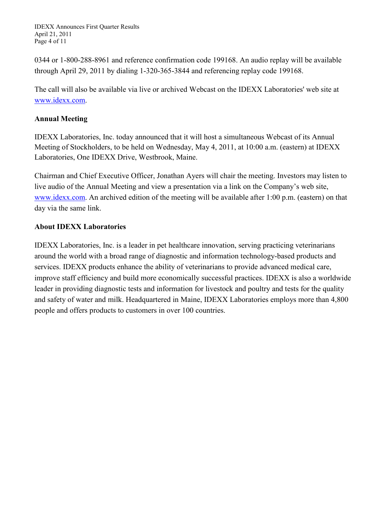IDEXX Announces First Quarter Results April 21, 2011 Page 4 of 11

0344 or 1-800-288-8961 and reference confirmation code 199168. An audio replay will be available through April 29, 2011 by dialing 1-320-365-3844 and referencing replay code 199168.

The call will also be available via live or archived Webcast on the IDEXX Laboratories' web site at [www.idexx.com.](http://www.idexx.com/)

## **Annual Meeting**

IDEXX Laboratories, Inc. today announced that it will host a simultaneous Webcast of its Annual Meeting of Stockholders, to be held on Wednesday, May 4, 2011, at 10:00 a.m. (eastern) at IDEXX Laboratories, One IDEXX Drive, Westbrook, Maine.

Chairman and Chief Executive Officer, Jonathan Ayers will chair the meeting. Investors may listen to live audio of the Annual Meeting and view a presentation via a link on the Company's web site, [www.idexx.com.](http://www.idexx.com/) An archived edition of the meeting will be available after 1:00 p.m. (eastern) on that day via the same link.

## **About IDEXX Laboratories**

IDEXX Laboratories, Inc. is a leader in pet healthcare innovation, serving practicing veterinarians around the world with a broad range of diagnostic and information technology-based products and services. IDEXX products enhance the ability of veterinarians to provide advanced medical care, improve staff efficiency and build more economically successful practices. IDEXX is also a worldwide leader in providing diagnostic tests and information for livestock and poultry and tests for the quality and safety of water and milk. Headquartered in Maine, IDEXX Laboratories employs more than 4,800 people and offers products to customers in over 100 countries.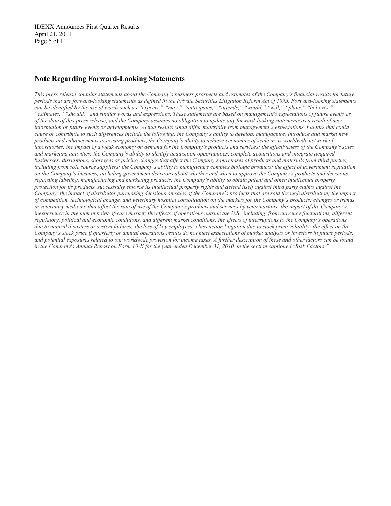IDEXX Announces First Quarter Results April 21, 2011 Page 5 of 11

### **Note Regarding Forward-Looking Statements**

*This press release contains statements about the Company's business prospects and estimates of the Company's financial results for future periods that are forward-looking statements as defined in the Private Securities Litigation Reform Act of 1995. Forward-looking statements can be identified by the use of words such as "expects," "may," "anticipates," "intends," "would," "will," "plans," "believes," "estimates," "should," and similar words and expressions. These statements are based on management's expectations of future events as of the date of this press release, and the Company assumes no obligation to update any forward-looking statements as a result of new information or future events or developments. Actual results could differ materially from management's expectations. Factors that could cause or contribute to such differences include the following: the Company's ability to develop, manufacture, introduce and market new products and enhancements to existing products*; *the Company's ability to achieve economies of scale in its worldwide network of laboratories; the impact of a weak economy on demand for the Company's products and services; the effectiveness of the Company's sales and marketing activities; the Company's ability to identify acquisition opportunities, complete acquisitions and integrate acquired businesses; disruptions, shortages or pricing changes that affect the Company's purchases of products and materials from third parties, including from sole source suppliers; the Company's ability to manufacture complex biologic products; the effect of government regulation on the Company's business, including government decisions about whether and when to approve the Company's products and decisions regarding labeling, manufacturing and marketing products; the Company's ability to obtain patent and other intellectual property protection for its products, successfully enforce its intellectual property rights and defend itself against third party claims against the Company; the impact of distributor purchasing decisions on sales of the Company's products that are sold through distribution; the impact of competition, technological change, and veterinary hospital consolidation on the markets for the Company's products; changes or trends in veterinary medicine that affect the rate of use of the Company's products and services by veterinarians; the impact of the Company's inexperience in the human point-of-care market; the effects of operations outside the U.S., including from currency fluctuations, different regulatory, political and economic conditions, and different market conditions; the effects of interruptions to the Company's operations due to natural disasters or system failures; the loss of key employees; class action litigation due to stock price volatility; the effect on the Company's stock price if quarterly or annual operations results do not meet expectations of market analysts or investors in future periods; and potential exposures related to our worldwide provision for income taxes. A further description of these and other factors can be found in the Company's Annual Report on Form 10-K for the year ended December 31, 2010, in the section captioned "Risk Factors."*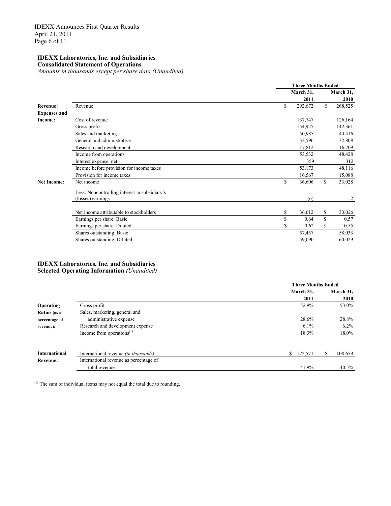#### **IDEXX Laboratories, Inc. and Subsidiaries Consolidated Statement of Operations**

*Amounts in thousands except per share data (Unaudited)*

|                     |                                                                    | <b>Three Months Ended</b> |           |         |  |
|---------------------|--------------------------------------------------------------------|---------------------------|-----------|---------|--|
|                     |                                                                    | March 31,                 | March 31, |         |  |
|                     |                                                                    | 2011                      |           | 2010    |  |
| <b>Revenue:</b>     | Revenue                                                            | \$<br>292,672             | \$        | 268,525 |  |
| <b>Expenses and</b> |                                                                    |                           |           |         |  |
| Income:             | Cost of revenue                                                    | 137,747                   |           | 126,164 |  |
|                     | Gross profit                                                       | 154,925                   |           | 142,361 |  |
|                     | Sales and marketing                                                | 50,985                    |           | 44,416  |  |
|                     | General and administrative                                         | 32,596                    |           | 32,808  |  |
|                     | Research and development                                           | 17,812                    |           | 16,709  |  |
|                     | Income from operations                                             | 53,532                    |           | 48,428  |  |
|                     | Interest expense, net                                              | 359                       |           | 312     |  |
|                     | Income before provision for income taxes                           | 53,173                    |           | 48,116  |  |
|                     | Provision for income taxes                                         | 16,567                    |           | 15,088  |  |
| <b>Net Income:</b>  | Net income                                                         | \$<br>36,606              | \$        | 33,028  |  |
|                     | Less: Noncontrolling interest in subsidiary's<br>(losses) earnings | (6)                       |           | 2       |  |
|                     |                                                                    |                           |           |         |  |
|                     | Net income attributable to stockholders                            | \$<br>36,612              | \$        | 33,026  |  |
|                     | Earnings per share: Basic                                          | \$<br>0.64                | \$        | 0.57    |  |
|                     | Earnings per share: Diluted                                        | \$<br>0.62                | \$        | 0.55    |  |
|                     | Shares outstanding: Basic                                          | 57,457                    |           | 58,033  |  |
|                     | Shares outstanding: Diluted                                        | 59,090                    |           | 60,029  |  |

#### **IDEXX Laboratories, Inc. and Subsidiaries Selected Operating Information** *(Unaudited)*

|                      |                                             | <b>Three Months Ended</b> |              |  |  |
|----------------------|---------------------------------------------|---------------------------|--------------|--|--|
|                      |                                             | March 31,                 | March 31,    |  |  |
|                      |                                             | 2011                      | 2010         |  |  |
| Operating            | Gross profit                                | 52.9%                     | 53.0%        |  |  |
| Ratios (as a         | Sales, marketing, general and               |                           |              |  |  |
| percentage of        | administrative expense                      | 28.6%                     | 28.8%        |  |  |
| revenue):            | Research and development expense            | $6.1\%$                   | $6.2\%$      |  |  |
|                      | Income from operations $(1)$                | 18.3%                     | 18.0%        |  |  |
|                      |                                             |                           |              |  |  |
| <b>International</b> | International revenue <i>(in thousands)</i> | S.<br>122,571             | 108,659<br>ъ |  |  |
| <b>Revenue:</b>      | International revenue as percentage of      |                           |              |  |  |
|                      | total revenue                               | 41.9%                     | 40.5%        |  |  |

(1) The sum of individual items may not equal the total due to rounding.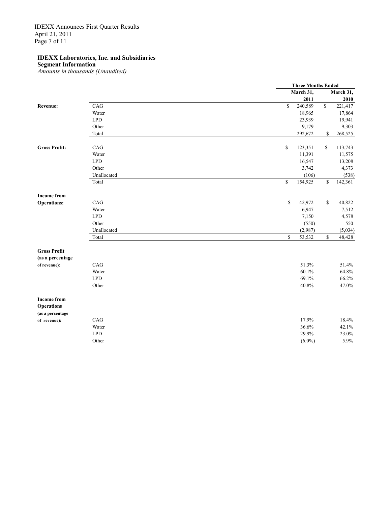IDEXX Announces First Quarter Results April 21, 2011 Page 7 of 11

### **IDEXX Laboratories, Inc. and Subsidiaries**

**Segment Information**

*Amounts in thousands (Unaudited)*

|                      |             |                                             | <b>Three Months Ended</b> |              |           |  |
|----------------------|-------------|---------------------------------------------|---------------------------|--------------|-----------|--|
|                      |             |                                             | March 31,                 |              | March 31, |  |
|                      |             |                                             | 2011                      |              | 2010      |  |
| Revenue:             | CAG         | \$                                          | 240,589                   | $\mathbb S$  | 221,417   |  |
|                      | Water       |                                             | 18,965                    |              | 17,864    |  |
|                      | <b>LPD</b>  |                                             | 23,939                    |              | 19,941    |  |
|                      | Other       |                                             | 9,179                     |              | 9,303     |  |
|                      | Total       |                                             | 292,672                   | \$           | 268,525   |  |
| <b>Gross Profit:</b> | CAG         | \$                                          | 123,351                   | \$           | 113,743   |  |
|                      | Water       |                                             | 11,391                    |              | 11,575    |  |
|                      | <b>LPD</b>  |                                             | 16,547                    |              | 13,208    |  |
|                      | Other       |                                             | 3,742                     |              | 4,373     |  |
|                      | Unallocated |                                             | (106)                     |              | (538)     |  |
|                      | Total       | \$                                          | 154,925                   | $\mathbb{S}$ | 142,361   |  |
| <b>Income from</b>   |             |                                             |                           |              |           |  |
| <b>Operations:</b>   | CAG         | $\mathbb{S}% _{n}^{X\rightarrow\mathbb{R}}$ | 42,972                    | \$           | 40,822    |  |
|                      | Water       |                                             | 6,947                     |              | 7,512     |  |
|                      | <b>LPD</b>  |                                             | 7,150                     |              | 4,578     |  |
|                      | Other       |                                             | (550)                     |              | 550       |  |
|                      | Unallocated |                                             | (2,987)                   |              | (5,034)   |  |
|                      | Total       | $\mathbb S$                                 | 53,532                    | $\mathbb S$  | 48,428    |  |
| <b>Gross Profit</b>  |             |                                             |                           |              |           |  |
| (as a percentage     |             |                                             |                           |              |           |  |
| of revenue):         | CAG         |                                             | 51.3%                     |              | 51.4%     |  |
|                      | Water       |                                             | 60.1%                     |              | 64.8%     |  |
|                      | <b>LPD</b>  |                                             | 69.1%                     |              | 66.2%     |  |
|                      | Other       |                                             | 40.8%                     |              | 47.0%     |  |
| <b>Income from</b>   |             |                                             |                           |              |           |  |
| <b>Operations</b>    |             |                                             |                           |              |           |  |
| (as a percentage     |             |                                             |                           |              |           |  |
| of revenue):         | CAG         |                                             | 17.9%                     |              | 18.4%     |  |
|                      | Water       |                                             | 36.6%                     |              | 42.1%     |  |
|                      | <b>LPD</b>  |                                             | 29.9%                     |              | 23.0%     |  |
|                      | Other       |                                             | $(6.0\%)$                 |              | 5.9%      |  |
|                      |             |                                             |                           |              |           |  |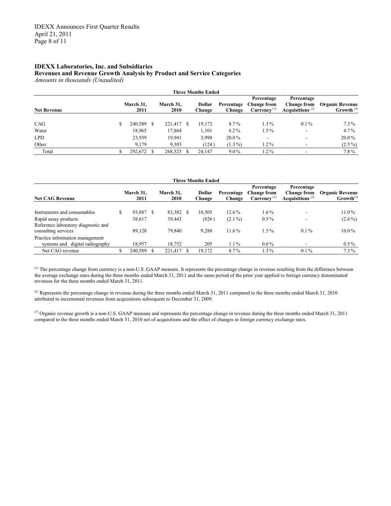### **IDEXX Laboratories, Inc. and Subsidiaries Revenues and Revenue Growth Analysis by Product and Service Categories**

*Amounts in thousands (Unaudited)*

| <b>Three Months Ended</b> |  |                   |  |                   |    |                  |                      |                                                             |                                                        |                                        |
|---------------------------|--|-------------------|--|-------------------|----|------------------|----------------------|-------------------------------------------------------------|--------------------------------------------------------|----------------------------------------|
| <b>Net Revenue</b>        |  | March 31,<br>2011 |  | March 31,<br>2010 |    | Dollar<br>Change | Percentage<br>Change | Percentage<br><b>Change from</b><br>Currence <sup>(1)</sup> | Percentage<br><b>Change from</b><br>Acquisitions $(2)$ | <b>Organic Revenue</b><br>Growth $(3)$ |
| CAG                       |  | 240,589           |  | 221,417           | -8 | 19,172           | 8.7%                 | $1.3\%$                                                     | $0.1\%$                                                | $7.3\%$                                |
| Water                     |  | 18,965            |  | 17,864            |    | 1,101            | $6.2\%$              | $1.5\%$                                                     | $\overline{\phantom{a}}$                               | $4.7\%$                                |
| <b>LPD</b>                |  | 23,939            |  | 19.941            |    | 3,998            | $20.0\%$             |                                                             | ۰                                                      | $20.0\%$                               |
| Other                     |  | 9.179             |  | 9.303             |    | (124)            | $(1.3\%)$            | $1.2\%$                                                     |                                                        | $(2.5\%)$                              |
| Total                     |  | 292,672           |  | 268,525           |    | 24.147           | $9.0\%$              | $1.2\%$                                                     |                                                        | $7.8\%$                                |

| Three Months Ended                                                    |  |                   |   |                   |   |                  |                      |                                                             |                                                        |                                          |
|-----------------------------------------------------------------------|--|-------------------|---|-------------------|---|------------------|----------------------|-------------------------------------------------------------|--------------------------------------------------------|------------------------------------------|
| <b>Net CAG Revenue</b>                                                |  | March 31.<br>2011 |   | March 31,<br>2010 |   | Dollar<br>Change | Percentage<br>Change | Percentage<br><b>Change from</b><br>Currence <sup>(1)</sup> | Percentage<br><b>Change from</b><br>Acquisitions $(2)$ | <b>Organic Revenue</b><br>$Growth^{(3)}$ |
| Instruments and consumables                                           |  | 93,887            | S | 83,382            | S | 10,505           | $12.6\%$             | $1.6\%$                                                     |                                                        | $11.0\%$                                 |
| Rapid assay products<br>Reference laboratory diagnostic and           |  | 38,617            |   | 39,443            |   | (826)            | $(2.1\%)$            | $0.5\%$                                                     |                                                        | $(2.6\%)$                                |
| consulting services                                                   |  | 89,128            |   | 79.840            |   | 9.288            | $11.6\%$             | $1.5\%$                                                     | $0.1\%$                                                | $10.0\%$                                 |
| Practice information management<br>digital radiography<br>systems and |  | 18.957            |   | 18,752            |   | 205              | $1.1\%$              | $0.6\%$                                                     |                                                        | $0.5\%$                                  |
| Net CAG revenue                                                       |  | 240,589           |   | 221.417           |   | 19,172           | 8.7%                 | $1.3\%$                                                     | $0.1\%$                                                | $7.3\%$                                  |

<sup>(1)</sup> The percentage change from currency is a non-U.S. GAAP measure. It represents the percentage change in revenue resulting from the difference between the average exchange rates during the three months ended March 31, 2011 and the same period of the prior year applied to foreign currency denominated revenues for the three months ended March 31, 2011.

<sup>(2)</sup> Represents the percentage change in revenue during the three months ended March 31, 2011 compared to the three months ended March 31, 2010 attributed to incremental revenues from acquisitions subsequent to December 31, 2009.

<sup>(3)</sup> Organic revenue growth is a non-U.S. GAAP measure and represents the percentage change in revenue during the three months ended March 31, 2011 compared to the three months ended March 31, 2010 net of acquisitions and the effect of changes in foreign currency exchange rates.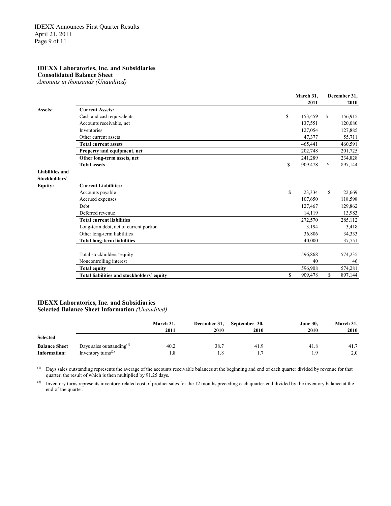### **IDEXX Laboratories, Inc. and Subsidiaries**

**Consolidated Balance Sheet**

*Amounts in thousands (Unaudited)*

|                        |                                            | March 31,     | December 31,  |         |
|------------------------|--------------------------------------------|---------------|---------------|---------|
|                        |                                            | 2011          |               | 2010    |
| Assets:                | <b>Current Assets:</b>                     |               |               |         |
|                        | Cash and cash equivalents                  | \$<br>153,459 | <sup>\$</sup> | 156,915 |
|                        | Accounts receivable, net                   | 137,551       |               | 120,080 |
|                        | Inventories                                | 127,054       |               | 127,885 |
|                        | Other current assets                       | 47,377        |               | 55,711  |
|                        | <b>Total current assets</b>                | 465,441       |               | 460,591 |
|                        | Property and equipment, net                | 202,748       |               | 201,725 |
|                        | Other long-term assets, net                | 241,289       |               | 234,828 |
|                        | <b>Total assets</b>                        | \$<br>909,478 | $\mathbb{S}$  | 897,144 |
| <b>Liabilities and</b> |                                            |               |               |         |
| Stockholders'          |                                            |               |               |         |
| <b>Equity:</b>         | <b>Current Liabilities:</b>                |               |               |         |
|                        | Accounts payable                           | \$<br>23,334  | \$            | 22,669  |
|                        | Accrued expenses                           | 107,650       |               | 118,598 |
|                        | <b>Debt</b>                                | 127,467       |               | 129,862 |
|                        | Deferred revenue                           | 14,119        |               | 13,983  |
|                        | <b>Total current liabilities</b>           | 272,570       |               | 285,112 |
|                        | Long-term debt, net of current portion     | 3,194         |               | 3,418   |
|                        | Other long-term liabilities                | 36,806        |               | 34,333  |
|                        | <b>Total long-term liabilities</b>         | 40,000        |               | 37,751  |
|                        | Total stockholders' equity                 | 596,868       |               | 574,235 |
|                        | Noncontrolling interest                    | 40            |               | 46      |
|                        | <b>Total equity</b>                        | 596,908       |               | 574,281 |
|                        | Total liabilities and stockholders' equity | \$<br>909,478 | \$            | 897,144 |
|                        |                                            |               |               |         |

#### **IDEXX Laboratories, Inc. and Subsidiaries Selected Balance Sheet Information** *(Unaudited)*

|                      |                                             | March 31.<br>2011 | December 31,<br>2010 | September 30,<br>2010 | <b>June 30.</b><br>2010 | March 31,<br>2010 |
|----------------------|---------------------------------------------|-------------------|----------------------|-----------------------|-------------------------|-------------------|
| <b>Selected</b>      |                                             |                   |                      |                       |                         |                   |
| <b>Balance Sheet</b> | Days sales outstanding $^{(1)}$             | 40.2              | 38.7                 | 41.9                  | 41.8                    | 41.7              |
| Information:         | Inventory turns <sup><math>(2)</math></sup> | l.8               |                      |                       | i.9                     | 2.0               |

(1) Days sales outstanding represents the average of the accounts receivable balances at the beginning and end of each quarter divided by revenue for that quarter, the result of which is then multiplied by 91.25 days.

<sup>(2)</sup> Inventory turns represents inventory-related cost of product sales for the 12 months preceding each quarter-end divided by the inventory balance at the end of the quarter.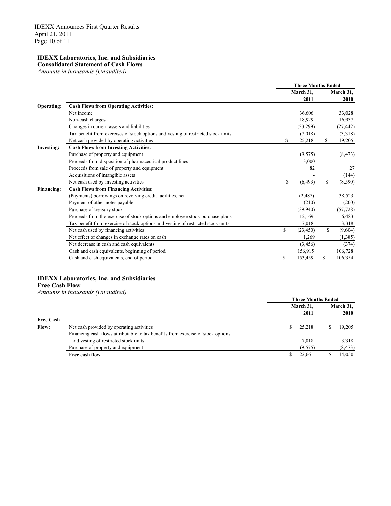# **IDEXX Laboratories, Inc. and Subsidiaries**

**Consolidated Statement of Cash Flows** *Amounts in thousands (Unaudited)*

|                   |                                                                                   | <b>Three Months Ended</b> |           |              |           |
|-------------------|-----------------------------------------------------------------------------------|---------------------------|-----------|--------------|-----------|
|                   |                                                                                   |                           | March 31, |              | March 31, |
|                   |                                                                                   |                           | 2011      |              | 2010      |
| Operating:        | <b>Cash Flows from Operating Activities:</b>                                      |                           |           |              |           |
|                   | Net income                                                                        |                           | 36,606    |              | 33,028    |
|                   | Non-cash charges                                                                  |                           | 18,929    |              | 16,937    |
|                   | Changes in current assets and liabilities                                         |                           | (23,299)  |              | (27, 442) |
|                   | Tax benefit from exercises of stock options and vesting of restricted stock units |                           | (7,018)   |              | (3,318)   |
|                   | Net cash provided by operating activities                                         | \$                        | 25,218    | \$           | 19,205    |
| <b>Investing:</b> | <b>Cash Flows from Investing Activities:</b>                                      |                           |           |              |           |
|                   | Purchase of property and equipment                                                |                           | (9,575)   |              | (8, 473)  |
|                   | Proceeds from disposition of pharmaceutical product lines                         |                           | 3,000     |              |           |
|                   | Proceeds from sale of property and equipment                                      |                           | 82        |              | 27        |
|                   | Acquisitions of intangible assets                                                 |                           |           |              | (144)     |
|                   | Net cash used by investing activities                                             | \$                        | (6, 493)  | \$           | (8,590)   |
| Financing:        | <b>Cash Flows from Financing Activities:</b>                                      |                           |           |              |           |
|                   | (Payments) borrowings on revolving credit facilities, net                         |                           | (2,487)   |              | 38,523    |
|                   | Payment of other notes payable                                                    |                           | (210)     |              | (200)     |
|                   | Purchase of treasury stock                                                        |                           | (39,940)  |              | (57, 728) |
|                   | Proceeds from the exercise of stock options and employee stock purchase plans     |                           | 12,169    |              | 6,483     |
|                   | Tax benefit from exercise of stock options and vesting of restricted stock units  |                           | 7,018     |              | 3,318     |
|                   | Net cash used by financing activities                                             | \$                        | (23, 450) | $\mathbb{S}$ | (9,604)   |
|                   | Net effect of changes in exchange rates on cash                                   |                           | 1.269     |              | (1,385)   |
|                   | Net decrease in cash and cash equivalents                                         |                           | (3, 456)  |              | (374)     |
|                   | Cash and cash equivalents, beginning of period                                    |                           | 156,915   |              | 106,728   |
|                   | Cash and cash equivalents, end of period                                          | \$                        | 153,459   | S.           | 106,354   |

### **IDEXX Laboratories, Inc. and Subsidiaries**

**Free Cash Flow**

*Amounts in thousands (Unaudited)*

|                  |                                                                                  | <b>Three Months Ended</b> |  |           |  |
|------------------|----------------------------------------------------------------------------------|---------------------------|--|-----------|--|
|                  |                                                                                  | March 31,                 |  | March 31, |  |
|                  |                                                                                  | 2011                      |  | 2010      |  |
| <b>Free Cash</b> |                                                                                  |                           |  |           |  |
| <b>Flow:</b>     | Net cash provided by operating activities                                        | 25,218                    |  | 19,205    |  |
|                  | Financing cash flows attributable to tax benefits from exercise of stock options |                           |  |           |  |
|                  | and vesting of restricted stock units                                            | 7,018                     |  | 3,318     |  |
|                  | Purchase of property and equipment                                               | (9,575)                   |  | (8, 473)  |  |
|                  | Free cash flow                                                                   | 22,661                    |  | 14,050    |  |